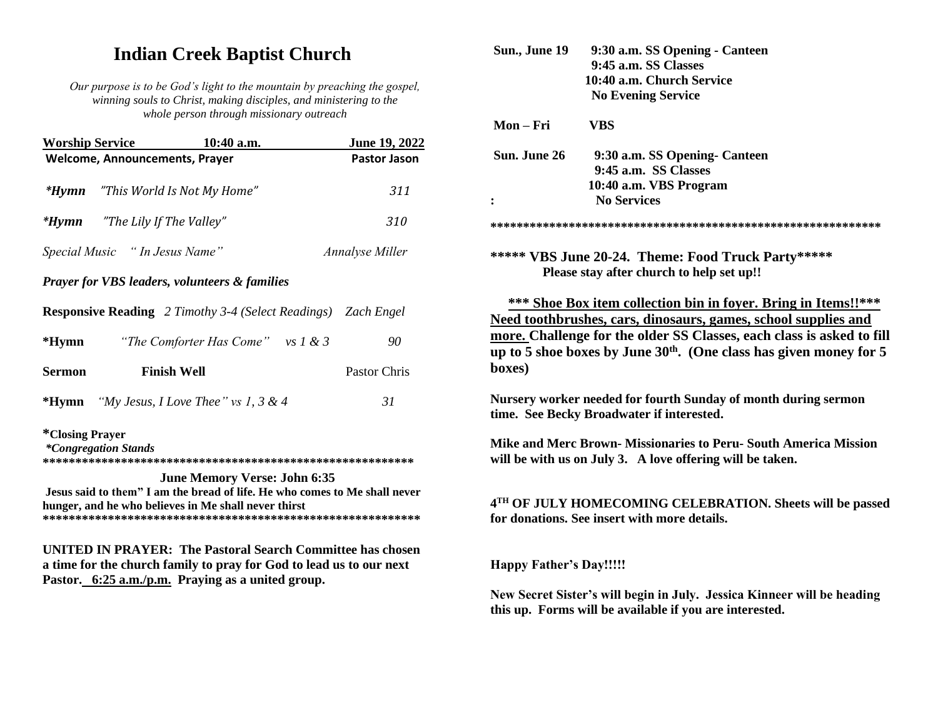# **Indian Creek Baptist Church**

Our purpose is to be God's light to the mountain by preaching the gospel, winning souls to Christ, making disciples, and ministering to the whole person through missionary outreach

| <b>Worship Service</b>                                 | $10:40$ a.m.                        | <b>June 19, 2022</b>                                                                                                                                                                                                                                                                                                                                                                                                                                                                                                          |
|--------------------------------------------------------|-------------------------------------|-------------------------------------------------------------------------------------------------------------------------------------------------------------------------------------------------------------------------------------------------------------------------------------------------------------------------------------------------------------------------------------------------------------------------------------------------------------------------------------------------------------------------------|
|                                                        |                                     | Pastor Jason                                                                                                                                                                                                                                                                                                                                                                                                                                                                                                                  |
|                                                        |                                     | 311                                                                                                                                                                                                                                                                                                                                                                                                                                                                                                                           |
|                                                        |                                     | 310                                                                                                                                                                                                                                                                                                                                                                                                                                                                                                                           |
|                                                        |                                     | <b>Annalyse Miller</b>                                                                                                                                                                                                                                                                                                                                                                                                                                                                                                        |
|                                                        |                                     |                                                                                                                                                                                                                                                                                                                                                                                                                                                                                                                               |
|                                                        |                                     |                                                                                                                                                                                                                                                                                                                                                                                                                                                                                                                               |
|                                                        |                                     | 90                                                                                                                                                                                                                                                                                                                                                                                                                                                                                                                            |
|                                                        |                                     | <b>Pastor Chris</b>                                                                                                                                                                                                                                                                                                                                                                                                                                                                                                           |
|                                                        |                                     | 31                                                                                                                                                                                                                                                                                                                                                                                                                                                                                                                            |
| <i>*</i> Closing Prayer<br><i>*Congregation Stands</i> | <b>June Memory Verse: John 6:35</b> |                                                                                                                                                                                                                                                                                                                                                                                                                                                                                                                               |
|                                                        |                                     | <b>Welcome, Announcements, Prayer</b><br>"This World Is Not My Home"<br><b>*Hymn</b> "The Lily If The Valley"<br>Special Music "In Jesus Name"<br><b>Prayer for VBS leaders, volunteers &amp; families</b><br><b>Responsive Reading</b> 2 Timothy 3-4 (Select Readings) Zach Engel<br>"The Comforter Has Come" vs $1 \& 3$<br><b>Finish Well</b><br>"My Jesus, I Love Thee" vs 1, 3 & 4<br>Jesus said to them" I am the bread of life. He who comes to Me shall never<br>hunger, and he who believes in Me shall never thirst |

**UNITED IN PRAYER: The Pastoral Search Committee has chosen** a time for the church family to pray for God to lead us to our next Pastor. 6:25 a.m./p.m. Praying as a united group.

|                                | 9:30 a.m. SS Opening - Canteen                                                                            |
|--------------------------------|-----------------------------------------------------------------------------------------------------------|
|                                | 9:45 a.m. SS Classes                                                                                      |
|                                | 10:40 a.m. Church Service                                                                                 |
|                                | <b>No Evening Service</b>                                                                                 |
| Mon – Fri                      | <b>VBS</b>                                                                                                |
| Sun. June 26                   | 9:30 a.m. SS Opening- Canteen                                                                             |
|                                | 9:45 a.m. SS Classes                                                                                      |
|                                | 10:40 a.m. VBS Program                                                                                    |
| $\ddot{\cdot}$                 | <b>No Services</b>                                                                                        |
|                                |                                                                                                           |
|                                | ***** VBS June 20-24. Theme: Food Truck Party*****                                                        |
|                                | Please stay after church to help set up!!                                                                 |
|                                |                                                                                                           |
|                                |                                                                                                           |
|                                | *** Shoe Box item collection bin in foyer. Bring in Items!!***                                            |
|                                | Need toothbrushes, cars, dinosaurs, games, school supplies and                                            |
|                                | more. Challenge for the older SS Classes, each class is asked to fill                                     |
|                                | up to 5 shoe boxes by June $30th$ . (One class has given money for 5                                      |
| boxes)                         |                                                                                                           |
|                                |                                                                                                           |
|                                | Nursery worker needed for fourth Sunday of month during sermon                                            |
|                                | time. See Becky Broadwater if interested.                                                                 |
|                                | Mike and Merc Brown- Missionaries to Peru- South America Mission                                          |
|                                | will be with us on July 3. A love offering will be taken.                                                 |
|                                |                                                                                                           |
|                                |                                                                                                           |
|                                | 4TH OF JULY HOMECOMING CELEBRATION. Sheets will be passed<br>for donations. See insert with more details. |
|                                |                                                                                                           |
| <b>Happy Father's Day!!!!!</b> |                                                                                                           |
|                                | New Secret Sister's will begin in July. Jessica Kinneer will be heading                                   |